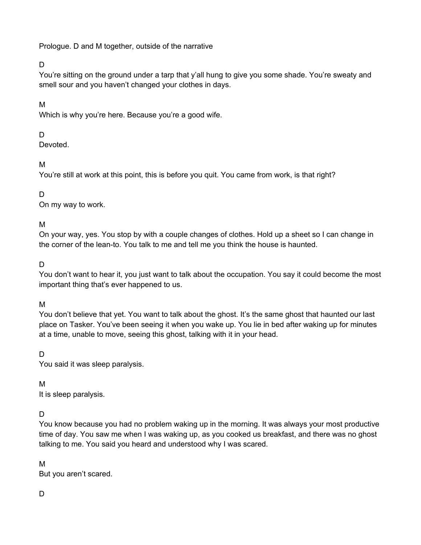Prologue. D and M together, outside of the narrative

# D

You're sitting on the ground under a tarp that y'all hung to give you some shade. You're sweaty and smell sour and you haven't changed your clothes in days.

### M

Which is why you're here. Because you're a good wife.

### D.

Devoted.

### M

You're still at work at this point, this is before you quit. You came from work, is that right?

# D.

On my way to work.

# M

On your way, yes. You stop by with a couple changes of clothes. Hold up a sheet so I can change in the corner of the lean-to. You talk to me and tell me you think the house is haunted.

### D

You don't want to hear it, you just want to talk about the occupation. You say it could become the most important thing that's ever happened to us.

### M

You don't believe that yet. You want to talk about the ghost. It's the same ghost that haunted our last place on Tasker. You've been seeing it when you wake up. You lie in bed after waking up for minutes at a time, unable to move, seeing this ghost, talking with it in your head.

### D

You said it was sleep paralysis.

### M

It is sleep paralysis.

# D

You know because you had no problem waking up in the morning. It was always your most productive time of day. You saw me when I was waking up, as you cooked us breakfast, and there was no ghost talking to me. You said you heard and understood why I was scared.

#### M

But you aren't scared.

# $\mathsf{D}$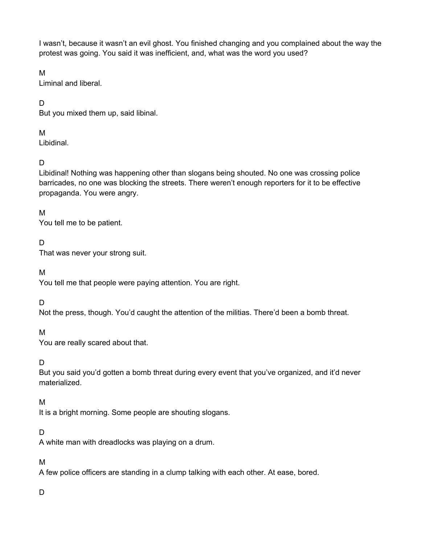I wasn't, because it wasn't an evil ghost. You finished changing and you complained about the way the protest was going. You said it was inefficient, and, what was the word you used?

### M

Liminal and liberal.

# D

But you mixed them up, said libinal.

### M

Libidinal.

# D

Libidinal! Nothing was happening other than slogans being shouted. No one was crossing police barricades, no one was blocking the streets. There weren't enough reporters for it to be effective propaganda. You were angry.

# M

You tell me to be patient.

### D

That was never your strong suit.

### M

You tell me that people were paying attention. You are right.

# D

Not the press, though. You'd caught the attention of the militias. There'd been a bomb threat.

M

You are really scared about that.

D

But you said you'd gotten a bomb threat during every event that you've organized, and it'd never materialized.

### M

It is a bright morning. Some people are shouting slogans.

# D

A white man with dreadlocks was playing on a drum.

### M

A few police officers are standing in a clump talking with each other. At ease, bored.

### D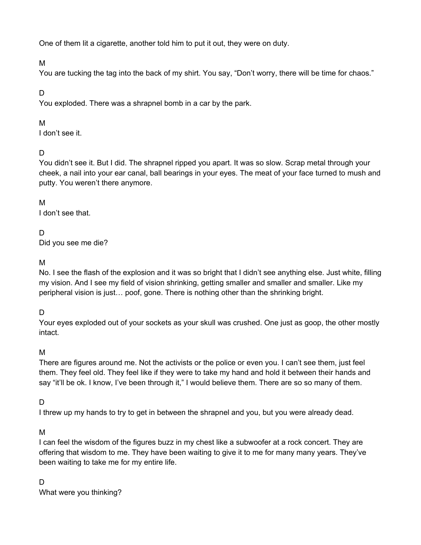One of them lit a cigarette, another told him to put it out, they were on duty.

### M

You are tucking the tag into the back of my shirt. You say, "Don't worry, there will be time for chaos."

# D

You exploded. There was a shrapnel bomb in a car by the park.

# M

I don't see it.

# D<sub>1</sub>

You didn't see it. But I did. The shrapnel ripped you apart. It was so slow. Scrap metal through your cheek, a nail into your ear canal, ball bearings in your eyes. The meat of your face turned to mush and putty. You weren't there anymore.

# M

I don't see that.

# D.

Did you see me die?

### M

No. I see the flash of the explosion and it was so bright that I didn't see anything else. Just white, filling my vision. And I see my field of vision shrinking, getting smaller and smaller and smaller. Like my peripheral vision is just… poof, gone. There is nothing other than the shrinking bright.

### D

Your eyes exploded out of your sockets as your skull was crushed. One just as goop, the other mostly intact.

### M

There are figures around me. Not the activists or the police or even you. I can't see them, just feel them. They feel old. They feel like if they were to take my hand and hold it between their hands and say "it'll be ok. I know, I've been through it," I would believe them. There are so so many of them.

# D

I threw up my hands to try to get in between the shrapnel and you, but you were already dead.

# M

I can feel the wisdom of the figures buzz in my chest like a subwoofer at a rock concert. They are offering that wisdom to me. They have been waiting to give it to me for many many years. They've been waiting to take me for my entire life.

# $\mathsf{D}$

What were you thinking?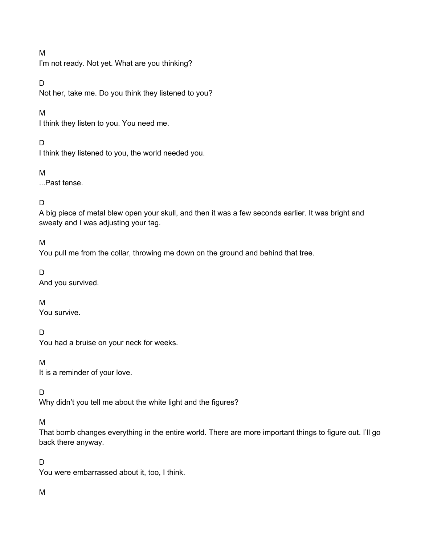### M

I'm not ready. Not yet. What are you thinking?

# D

Not her, take me. Do you think they listened to you?

# M

I think they listen to you. You need me.

# D

I think they listened to you, the world needed you.

### M

...Past tense.

# $\mathsf{D}$

A big piece of metal blew open your skull, and then it was a few seconds earlier. It was bright and sweaty and I was adjusting your tag.

### M

You pull me from the collar, throwing me down on the ground and behind that tree.

# D

And you survived.

### M

You survive.

D

You had a bruise on your neck for weeks.

M

It is a reminder of your love.

D

Why didn't you tell me about the white light and the figures?

### M

That bomb changes everything in the entire world. There are more important things to figure out. I'll go back there anyway.

### D

You were embarrassed about it, too, I think.

### M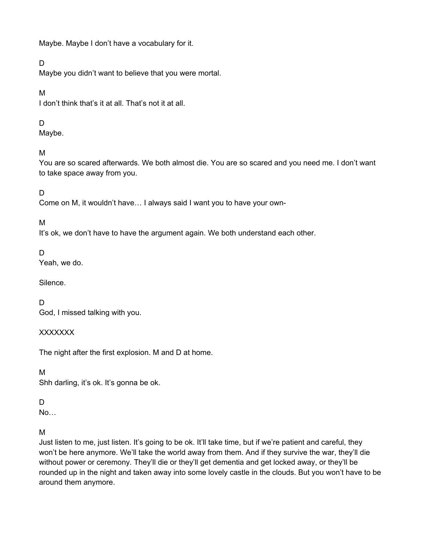Maybe. Maybe I don't have a vocabulary for it.

# D

Maybe you didn't want to believe that you were mortal.

# M

I don't think that's it at all. That's not it at all.

# D

Maybe.

# M

You are so scared afterwards. We both almost die. You are so scared and you need me. I don't want to take space away from you.

# D

Come on M, it wouldn't have… I always said I want you to have your own-

### M

It's ok, we don't have to have the argument again. We both understand each other.

### D

Yeah, we do.

### Silence.

D God, I missed talking with you.

### XXXXXXX

The night after the first explosion. M and D at home.

### M

Shh darling, it's ok. It's gonna be ok.

### D

No…

### M

Just listen to me, just listen. It's going to be ok. It'll take time, but if we're patient and careful, they won't be here anymore. We'll take the world away from them. And if they survive the war, they'll die without power or ceremony. They'll die or they'll get dementia and get locked away, or they'll be rounded up in the night and taken away into some lovely castle in the clouds. But you won't have to be around them anymore.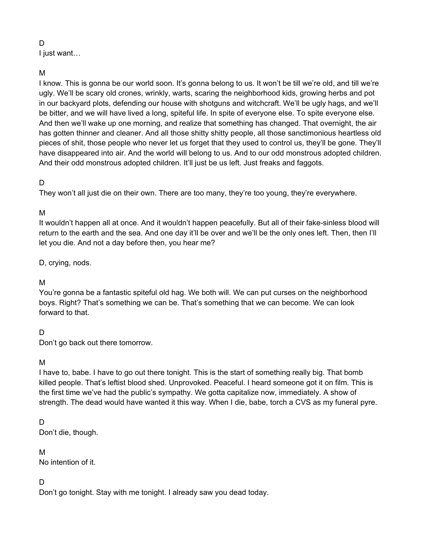# D

I just want…

### M

I know. This is gonna be our world soon. It's gonna belong to us. It won't be till we're old, and till we're ugly. We'll be scary old crones, wrinkly, warts, scaring the neighborhood kids, growing herbs and pot in our backyard plots, defending our house with shotguns and witchcraft. We'll be ugly hags, and we'll be bitter, and we will have lived a long, spiteful life. In spite of everyone else. To spite everyone else. And then we'll wake up one morning, and realize that something has changed. That overnight, the air has gotten thinner and cleaner. And all those shitty shitty people, all those sanctimonious heartless old pieces of shit, those people who never let us forget that they used to control us, they'll be gone. They'll have disappeared into air. And the world will belong to us. And to our odd monstrous adopted children. And their odd monstrous adopted children. It'll just be us left. Just freaks and faggots.

# D

They won't all just die on their own. There are too many, they're too young, they're everywhere.

# M

It wouldn't happen all at once. And it wouldn't happen peacefully. But all of their fake-sinless blood will return to the earth and the sea. And one day it'll be over and we'll be the only ones left. Then, then I'll let you die. And not a day before then, you hear me?

D, crying, nods.

# M

You're gonna be a fantastic spiteful old hag. We both will. We can put curses on the neighborhood boys. Right? That's something we can be. That's something that we can become. We can look forward to that.

# D

Don't go back out there tomorrow.

### M

I have to, babe. I have to go out there tonight. This is the start of something really big. That bomb killed people. That's leftist blood shed. Unprovoked. Peaceful. I heard someone got it on film. This is the first time we've had the public's sympathy. We gotta capitalize now, immediately. A show of strength. The dead would have wanted it this way. When I die, babe, torch a CVS as my funeral pyre.

### D

Don't die, though.

### M

No intention of it.

# D

Don't go tonight. Stay with me tonight. I already saw you dead today.